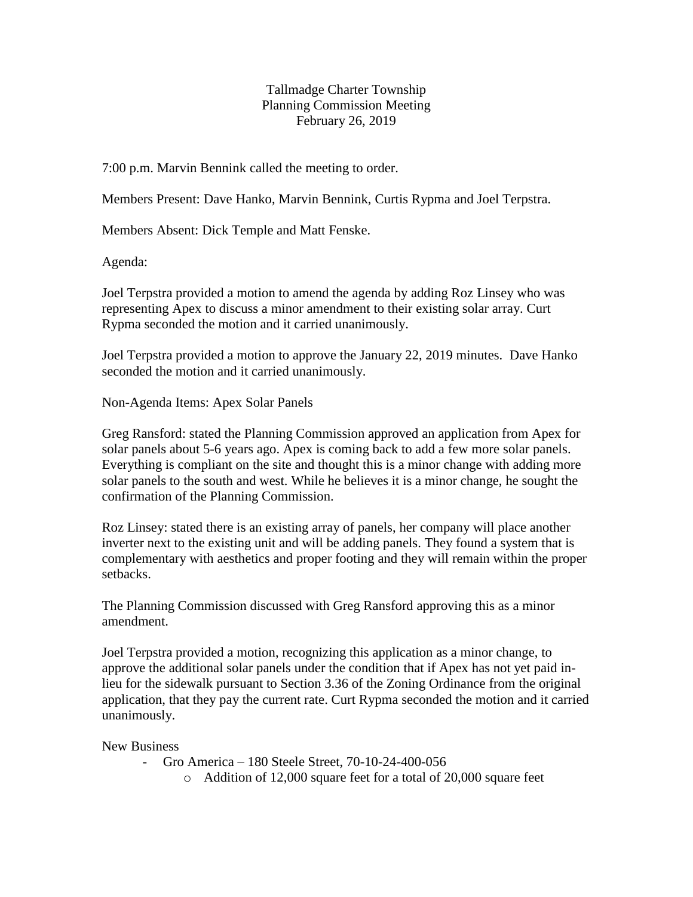Tallmadge Charter Township Planning Commission Meeting February 26, 2019

7:00 p.m. Marvin Bennink called the meeting to order.

Members Present: Dave Hanko, Marvin Bennink, Curtis Rypma and Joel Terpstra.

Members Absent: Dick Temple and Matt Fenske.

Agenda:

Joel Terpstra provided a motion to amend the agenda by adding Roz Linsey who was representing Apex to discuss a minor amendment to their existing solar array. Curt Rypma seconded the motion and it carried unanimously.

Joel Terpstra provided a motion to approve the January 22, 2019 minutes. Dave Hanko seconded the motion and it carried unanimously.

Non-Agenda Items: Apex Solar Panels

Greg Ransford: stated the Planning Commission approved an application from Apex for solar panels about 5-6 years ago. Apex is coming back to add a few more solar panels. Everything is compliant on the site and thought this is a minor change with adding more solar panels to the south and west. While he believes it is a minor change, he sought the confirmation of the Planning Commission.

Roz Linsey: stated there is an existing array of panels, her company will place another inverter next to the existing unit and will be adding panels. They found a system that is complementary with aesthetics and proper footing and they will remain within the proper setbacks.

The Planning Commission discussed with Greg Ransford approving this as a minor amendment.

Joel Terpstra provided a motion, recognizing this application as a minor change, to approve the additional solar panels under the condition that if Apex has not yet paid inlieu for the sidewalk pursuant to Section 3.36 of the Zoning Ordinance from the original application, that they pay the current rate. Curt Rypma seconded the motion and it carried unanimously.

New Business

- Gro America – 180 Steele Street, 70-10-24-400-056

o Addition of 12,000 square feet for a total of 20,000 square feet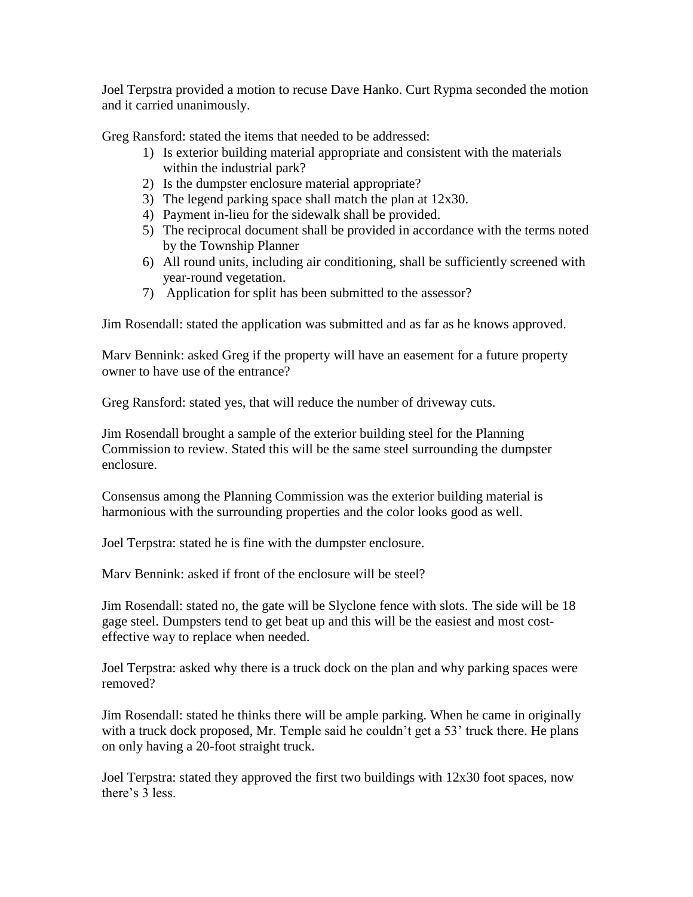Joel Terpstra provided a motion to recuse Dave Hanko. Curt Rypma seconded the motion and it carried unanimously.

Greg Ransford: stated the items that needed to be addressed:

- 1) Is exterior building material appropriate and consistent with the materials within the industrial park?
- 2) Is the dumpster enclosure material appropriate?
- 3) The legend parking space shall match the plan at 12x30.
- 4) Payment in-lieu for the sidewalk shall be provided.
- 5) The reciprocal document shall be provided in accordance with the terms noted by the Township Planner
- 6) All round units, including air conditioning, shall be sufficiently screened with year-round vegetation.
- 7) Application for split has been submitted to the assessor?

Jim Rosendall: stated the application was submitted and as far as he knows approved.

Marv Bennink: asked Greg if the property will have an easement for a future property owner to have use of the entrance?

Greg Ransford: stated yes, that will reduce the number of driveway cuts.

Jim Rosendall brought a sample of the exterior building steel for the Planning Commission to review. Stated this will be the same steel surrounding the dumpster enclosure.

Consensus among the Planning Commission was the exterior building material is harmonious with the surrounding properties and the color looks good as well.

Joel Terpstra: stated he is fine with the dumpster enclosure.

Mary Bennink: asked if front of the enclosure will be steel?

Jim Rosendall: stated no, the gate will be Slyclone fence with slots. The side will be 18 gage steel. Dumpsters tend to get beat up and this will be the easiest and most costeffective way to replace when needed.

Joel Terpstra: asked why there is a truck dock on the plan and why parking spaces were removed?

Jim Rosendall: stated he thinks there will be ample parking. When he came in originally with a truck dock proposed, Mr. Temple said he couldn't get a 53' truck there. He plans on only having a 20-foot straight truck.

Joel Terpstra: stated they approved the first two buildings with 12x30 foot spaces, now there's 3 less.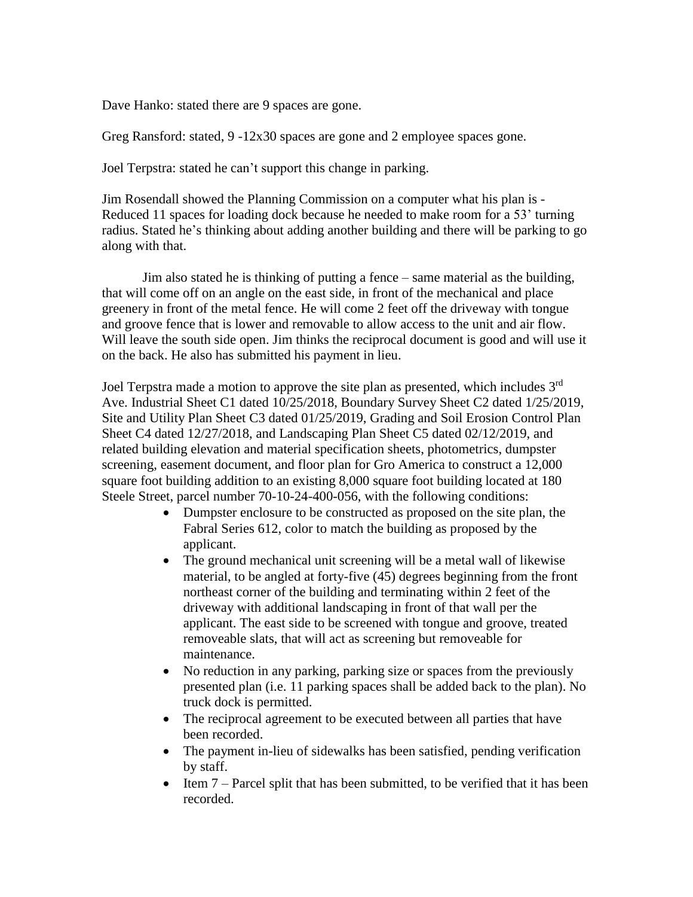Dave Hanko: stated there are 9 spaces are gone.

Greg Ransford: stated, 9 -12x30 spaces are gone and 2 employee spaces gone.

Joel Terpstra: stated he can't support this change in parking.

Jim Rosendall showed the Planning Commission on a computer what his plan is - Reduced 11 spaces for loading dock because he needed to make room for a 53' turning radius. Stated he's thinking about adding another building and there will be parking to go along with that.

Jim also stated he is thinking of putting a fence – same material as the building, that will come off on an angle on the east side, in front of the mechanical and place greenery in front of the metal fence. He will come 2 feet off the driveway with tongue and groove fence that is lower and removable to allow access to the unit and air flow. Will leave the south side open. Jim thinks the reciprocal document is good and will use it on the back. He also has submitted his payment in lieu.

Joel Terpstra made a motion to approve the site plan as presented, which includes 3<sup>rd</sup> Ave. Industrial Sheet C1 dated 10/25/2018, Boundary Survey Sheet C2 dated 1/25/2019, Site and Utility Plan Sheet C3 dated 01/25/2019, Grading and Soil Erosion Control Plan Sheet C4 dated 12/27/2018, and Landscaping Plan Sheet C5 dated 02/12/2019, and related building elevation and material specification sheets, photometrics, dumpster screening, easement document, and floor plan for Gro America to construct a 12,000 square foot building addition to an existing 8,000 square foot building located at 180 Steele Street, parcel number 70-10-24-400-056, with the following conditions:

- Dumpster enclosure to be constructed as proposed on the site plan, the Fabral Series 612, color to match the building as proposed by the applicant.
- The ground mechanical unit screening will be a metal wall of likewise material, to be angled at forty-five (45) degrees beginning from the front northeast corner of the building and terminating within 2 feet of the driveway with additional landscaping in front of that wall per the applicant. The east side to be screened with tongue and groove, treated removeable slats, that will act as screening but removeable for maintenance.
- No reduction in any parking, parking size or spaces from the previously presented plan (i.e. 11 parking spaces shall be added back to the plan). No truck dock is permitted.
- The reciprocal agreement to be executed between all parties that have been recorded.
- The payment in-lieu of sidewalks has been satisfied, pending verification by staff.
- Item 7 Parcel split that has been submitted, to be verified that it has been recorded.